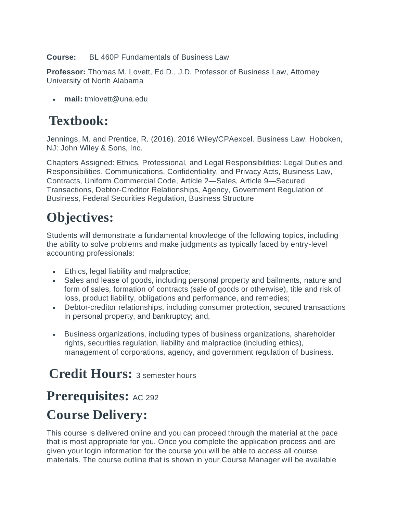**Course:** BL 460P Fundamentals of Business Law

**Professor:** Thomas M. Lovett, Ed.D., J.D. Professor of Business Law, Attorney University of North Alabama

**mail:** tmlovett@una.edu

### **Textbook:**

Jennings, M. and Prentice, R. (2016). 2016 Wiley/CPAexcel. Business Law. Hoboken, NJ: John Wiley & Sons, Inc.

Chapters Assigned: Ethics, Professional, and Legal Responsibilities: Legal Duties and Responsibilities, Communications, Confidentiality, and Privacy Acts, Business Law, Contracts, Uniform Commercial Code, Article 2—Sales, Article 9—Secured Transactions, Debtor-Creditor Relationships, Agency, Government Regulation of Business, Federal Securities Regulation, Business Structure

## **Objectives:**

Students will demonstrate a fundamental knowledge of the following topics, including the ability to solve problems and make judgments as typically faced by entry-level accounting professionals:

- Ethics, legal liability and malpractice;
- Sales and lease of goods, including personal property and bailments, nature and form of sales, formation of contracts (sale of goods or otherwise), title and risk of loss, product liability, obligations and performance, and remedies;
- Debtor-creditor relationships, including consumer protection, secured transactions in personal property, and bankruptcy; and,
- Business organizations, including types of business organizations, shareholder rights, securities regulation, liability and malpractice (including ethics), management of corporations, agency, and government regulation of business.

# **Credit Hours:** 3 semester hours

### **Prerequisites:** AC 292 **Course Delivery:**

This course is delivered online and you can proceed through the material at the pace that is most appropriate for you. Once you complete the application process and are given your login information for the course you will be able to access all course materials. The course outline that is shown in your Course Manager will be available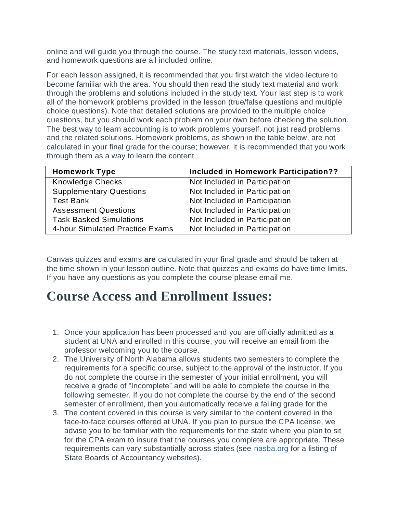online and will guide you through the course. The study text materials, lesson videos, and homework questions are all included online.

For each lesson assigned, it is recommended that you first watch the video lecture to become familiar with the area. You should then read the study text material and work through the problems and solutions included in the study text. Your last step is to work all of the homework problems provided in the lesson (true/false questions and multiple choice questions). Note that detailed solutions are provided to the multiple choice questions, but you should work each problem on your own before checking the solution. The best way to learn accounting is to work problems yourself, not just read problems and the related solutions. Homework problems, as shown in the table below, are not calculated in your final grade for the course; however, it is recommended that you work through them as a way to learn the content.

| <b>Homework Type</b>            | <b>Included in Homework Participation??</b> |
|---------------------------------|---------------------------------------------|
| <b>Knowledge Checks</b>         | Not Included in Participation               |
| <b>Supplementary Questions</b>  | Not Included in Participation               |
| <b>Test Bank</b>                | Not Included in Participation               |
| <b>Assessment Questions</b>     | Not Included in Participation               |
| <b>Task Basked Simulations</b>  | Not Included in Participation               |
| 4-hour Simulated Practice Exams | Not Included in Participation               |

Canvas quizzes and exams **are** calculated in your final grade and should be taken at the time shown in your lesson outline. Note that quizzes and exams do have time limits. If you have any questions as you complete the course please email me.

### **Course Access and Enrollment Issues:**

- 1. Once your application has been processed and you are officially admitted as a student at UNA and enrolled in this course, you will receive an email from the professor welcoming you to the course.
- 2. The University of North Alabama allows students two semesters to complete the requirements for a specific course, subject to the approval of the instructor. If you do not complete the course in the semester of your initial enrollment, you will receive a grade of "Incomplete" and will be able to complete the course in the following semester. If you do not complete the course by the end of the second semester of enrollment, then you automatically receive a failing grade for the
- 3. The content covered in this course is very similar to the content covered in the face-to-face courses offered at UNA. If you plan to pursue the CPA license, we advise you to be familiar with the requirements for the state where you plan to sit for the CPA exam to insure that the courses you complete are appropriate. These requirements can vary substantially across states (see [nasba.org f](http://www.nasba.org/)or a listing of State Boards of Accountancy websites).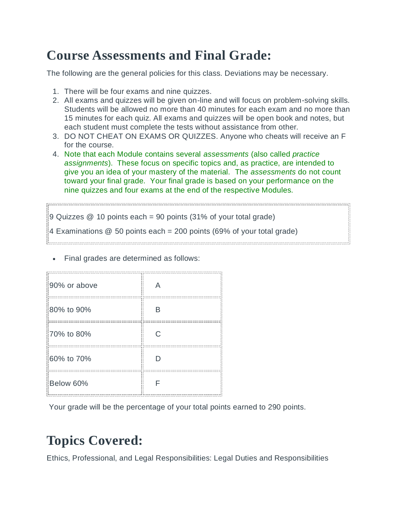# **Course Assessments and Final Grade:**

The following are the general policies for this class. Deviations may be necessary.

- 1. There will be four exams and nine quizzes.
- 2. All exams and quizzes will be given on-line and will focus on problem-solving skills. Students will be allowed no more than 40 minutes for each exam and no more than 15 minutes for each quiz. All exams and quizzes will be open book and notes, but each student must complete the tests without assistance from other.
- 3. DO NOT CHEAT ON EXAMS OR QUIZZES. Anyone who cheats will receive an F for the course.
- 4. Note that each Module contains several *assessments* (also called *practice assignments*). These focus on specific topics and, as practice, are intended to give you an idea of your mastery of the material. The *assessments* do not count toward your final grade. Your final grade is based on your performance on the nine quizzes and four exams at the end of the respective Modules.

 $9$  Quizzes  $\omega$  10 points each = 90 points (31% of your total grade) 4 Examinations @ 50 points each = 200 points (69% of your total grade)

Final grades are determined as follows:

| 90% or above |   |
|--------------|---|
| 80% to 90%   | R |
| 70% to 80%   | C |
| 60% to 70%   |   |
| Below 60%    |   |

Your grade will be the percentage of your total points earned to 290 points.

# **Topics Covered:**

Ethics, Professional, and Legal Responsibilities: Legal Duties and Responsibilities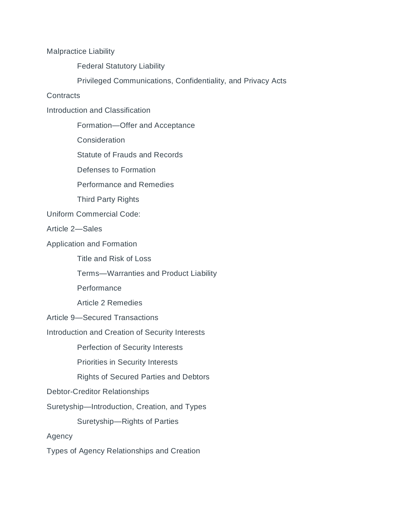Malpractice Liability

Federal Statutory Liability

Privileged Communications, Confidentiality, and Privacy Acts

**Contracts** 

Introduction and Classification

Formation—Offer and Acceptance

**Consideration** 

Statute of Frauds and Records

Defenses to Formation

Performance and Remedies

Third Party Rights

Uniform Commercial Code:

Article 2—Sales

Application and Formation

Title and Risk of Loss

Terms—Warranties and Product Liability

Performance

Article 2 Remedies

Article 9—Secured Transactions

Introduction and Creation of Security Interests

Perfection of Security Interests

Priorities in Security Interests

Rights of Secured Parties and Debtors

Debtor-Creditor Relationships

Suretyship—Introduction, Creation, and Types

Suretyship—Rights of Parties

Agency

Types of Agency Relationships and Creation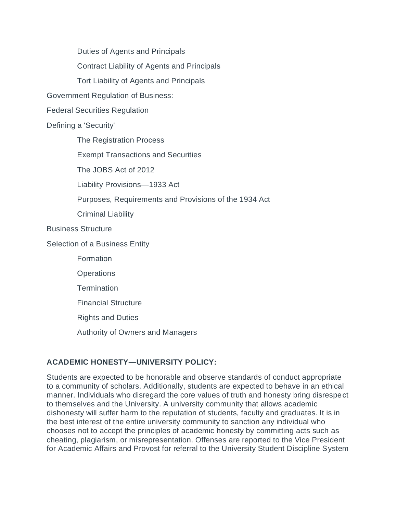Duties of Agents and Principals

Contract Liability of Agents and Principals

Tort Liability of Agents and Principals

Government Regulation of Business:

Federal Securities Regulation

#### Defining a 'Security'

The Registration Process

Exempt Transactions and Securities

The JOBS Act of 2012

Liability Provisions—1933 Act

Purposes, Requirements and Provisions of the 1934 Act

Criminal Liability

#### Business Structure

Selection of a Business Entity

Formation

**Operations** 

**Termination** 

Financial Structure

Rights and Duties

Authority of Owners and Managers

### **ACADEMIC HONESTY—UNIVERSITY POLICY:**

Students are expected to be honorable and observe standards of conduct appropriate to a community of scholars. Additionally, students are expected to behave in an ethical manner. Individuals who disregard the core values of truth and honesty bring disrespect to themselves and the University. A university community that allows academic dishonesty will suffer harm to the reputation of students, faculty and graduates. It is in the best interest of the entire university community to sanction any individual who chooses not to accept the principles of academic honesty by committing acts such as cheating, plagiarism, or misrepresentation. Offenses are reported to the Vice President for Academic Affairs and Provost for referral to the University Student Discipline System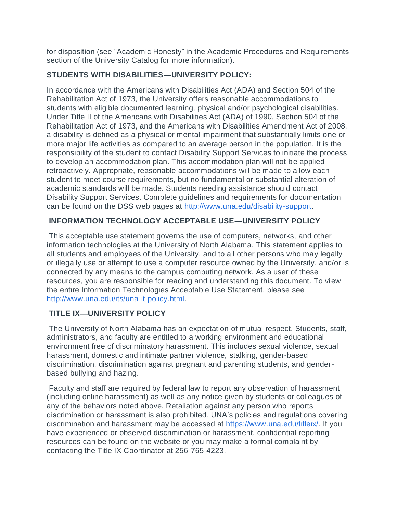for disposition (see "Academic Honesty" in the Academic Procedures and Requirements section of the University Catalog for more information).

#### **STUDENTS WITH DISABILITIES—UNIVERSITY POLICY:**

In accordance with the Americans with Disabilities Act (ADA) and Section 504 of the Rehabilitation Act of 1973, the University offers reasonable accommodations to students with eligible documented learning, physical and/or psychological disabilities. Under Title II of the Americans with Disabilities Act (ADA) of 1990, Section 504 of the Rehabilitation Act of 1973, and the Americans with Disabilities Amendment Act of 2008, a disability is defined as a physical or mental impairment that substantially limits one or more major life activities as compared to an average person in the population. It is the responsibility of the student to contact Disability Support Services to initiate the process to develop an accommodation plan. This accommodation plan will not be applied retroactively. Appropriate, reasonable accommodations will be made to allow each student to meet course requirements, but no fundamental or substantial alteration of academic standards will be made. Students needing assistance should contact Disability Support Services. Complete guidelines and requirements for documentation can be found on the DSS web pages at [http://www.una.edu/disability-support.](http://www.una.edu/disability-support)

#### **INFORMATION TECHNOLOGY ACCEPTABLE USE—UNIVERSITY POLICY**

This acceptable use statement governs the use of computers, networks, and other information technologies at the University of North Alabama. This statement applies to all students and employees of the University, and to all other persons who may legally or illegally use or attempt to use a computer resource owned by the University, and/or is connected by any means to the campus computing network. As a user of these resources, you are responsible for reading and understanding this document. To view the entire Information Technologies Acceptable Use Statement, please see [http://www.una.edu/its/una-it-policy.html.](http://www.una.edu/its/una-it-policy.html)

#### **TITLE IX—UNIVERSITY POLICY**

The University of North Alabama has an expectation of mutual respect. Students, staff, administrators, and faculty are entitled to a working environment and educational environment free of discriminatory harassment. This includes sexual violence, sexual harassment, domestic and intimate partner violence, stalking, gender-based discrimination, discrimination against pregnant and parenting students, and genderbased bullying and hazing.

Faculty and staff are required by federal law to report any observation of harassment (including online harassment) as well as any notice given by students or colleagues of any of the behaviors noted above. Retaliation against any person who reports discrimination or harassment is also prohibited. UNA's policies and regulations covering discrimination and harassment may be accessed at [https://www.una.edu/titleix/.](https://www.una.edu/titleix/) If you have experienced or observed discrimination or harassment, confidential reporting resources can be found on the website or you may make a formal complaint by contacting the Title IX Coordinator at 256-765-4223.